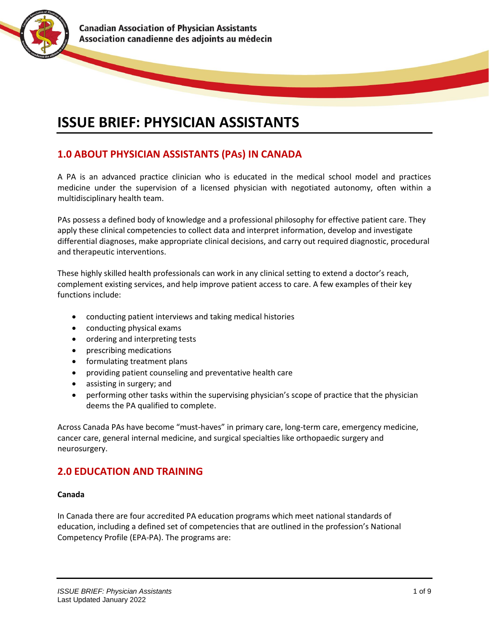

# **ISSUE BRIEF: PHYSICIAN ASSISTANTS**

## **1.0 ABOUT PHYSICIAN ASSISTANTS (PAs) IN CANADA**

A PA is an advanced practice clinician who is educated in the medical school model and practices medicine under the supervision of a licensed physician with negotiated autonomy, often within a multidisciplinary health team.

PAs possess a defined body of knowledge and a professional philosophy for effective patient care. They apply these clinical competencies to collect data and interpret information, develop and investigate differential diagnoses, make appropriate clinical decisions, and carry out required diagnostic, procedural and therapeutic interventions.

These highly skilled health professionals can work in any clinical setting to extend a doctor's reach, complement existing services, and help improve patient access to care. A few examples of their key functions include:

- conducting patient interviews and taking medical histories
- conducting physical exams
- ordering and interpreting tests
- prescribing medications
- formulating treatment plans
- providing patient counseling and preventative health care
- assisting in surgery; and
- performing other tasks within the supervising physician's scope of practice that the physician deems the PA qualified to complete.

Across Canada PAs have become "must-haves" in primary care, long-term care, emergency medicine, cancer care, general internal medicine, and surgical specialties like orthopaedic surgery and neurosurgery.

### **2.0 EDUCATION AND TRAINING**

#### **Canada**

In Canada there are four accredited PA education programs which meet national standards of education, including a defined set of competencies that are outlined in the profession's National Competency Profile (EPA-PA). The programs are: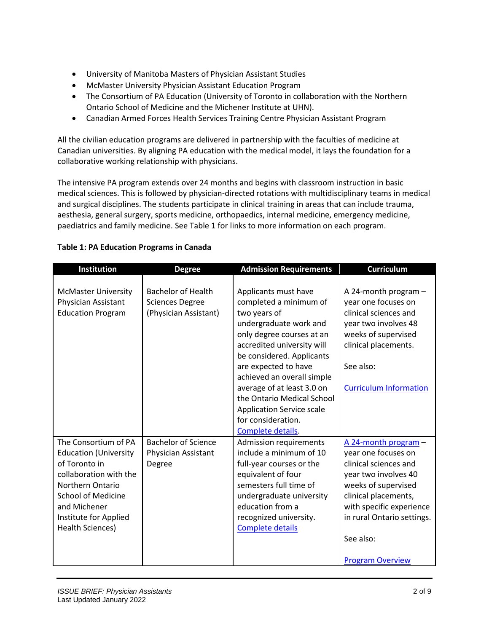- University of Manitoba Masters of Physician Assistant Studies
- McMaster University Physician Assistant Education Program
- The Consortium of PA Education (University of Toronto in collaboration with the Northern Ontario School of Medicine and the Michener Institute at UHN).
- Canadian Armed Forces Health Services Training Centre Physician Assistant Program

All the civilian education programs are delivered in partnership with the faculties of medicine at Canadian universities. By aligning PA education with the medical model, it lays the foundation for a collaborative working relationship with physicians.

The intensive PA program extends over 24 months and begins with classroom instruction in basic medical sciences. This is followed by physician-directed rotations with multidisciplinary teams in medical and surgical disciplines. The students participate in clinical training in areas that can include trauma, aesthesia, general surgery, sports medicine, orthopaedics, internal medicine, emergency medicine, paediatrics and family medicine. See Table 1 for links to more information on each program.

| <b>Institution</b>                                                                                                                                                                                                   | <b>Degree</b>                                                                | <b>Admission Requirements</b>                                                                                                                                                                                                                                                                                                                                                     | <b>Curriculum</b>                                                                                                                                                                                                                             |
|----------------------------------------------------------------------------------------------------------------------------------------------------------------------------------------------------------------------|------------------------------------------------------------------------------|-----------------------------------------------------------------------------------------------------------------------------------------------------------------------------------------------------------------------------------------------------------------------------------------------------------------------------------------------------------------------------------|-----------------------------------------------------------------------------------------------------------------------------------------------------------------------------------------------------------------------------------------------|
| <b>McMaster University</b><br>Physician Assistant<br><b>Education Program</b>                                                                                                                                        | <b>Bachelor of Health</b><br><b>Sciences Degree</b><br>(Physician Assistant) | Applicants must have<br>completed a minimum of<br>two years of<br>undergraduate work and<br>only degree courses at an<br>accredited university will<br>be considered. Applicants<br>are expected to have<br>achieved an overall simple<br>average of at least 3.0 on<br>the Ontario Medical School<br><b>Application Service scale</b><br>for consideration.<br>Complete details. | A 24-month program $-$<br>year one focuses on<br>clinical sciences and<br>year two involves 48<br>weeks of supervised<br>clinical placements.<br>See also:<br><b>Curriculum Information</b>                                                   |
| The Consortium of PA<br><b>Education (University</b><br>of Toronto in<br>collaboration with the<br>Northern Ontario<br><b>School of Medicine</b><br>and Michener<br>Institute for Applied<br><b>Health Sciences)</b> | <b>Bachelor of Science</b><br>Physician Assistant<br>Degree                  | Admission requirements<br>include a minimum of 10<br>full-year courses or the<br>equivalent of four<br>semesters full time of<br>undergraduate university<br>education from a<br>recognized university.<br><b>Complete details</b>                                                                                                                                                | A 24-month program -<br>year one focuses on<br>clinical sciences and<br>year two involves 40<br>weeks of supervised<br>clinical placements,<br>with specific experience<br>in rural Ontario settings.<br>See also:<br><b>Program Overview</b> |

### **Table 1: PA Education Programs in Canada**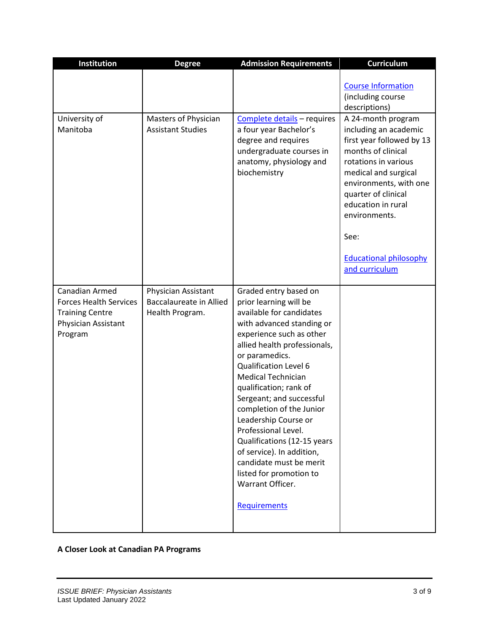| Institution                                                                                                 | <b>Degree</b>                                                            | <b>Admission Requirements</b>                                                                                                                                                                                                                                                                                                                                                                                                                                                                                                              | Curriculum                                                                                                                                                                                                                                                                                                |
|-------------------------------------------------------------------------------------------------------------|--------------------------------------------------------------------------|--------------------------------------------------------------------------------------------------------------------------------------------------------------------------------------------------------------------------------------------------------------------------------------------------------------------------------------------------------------------------------------------------------------------------------------------------------------------------------------------------------------------------------------------|-----------------------------------------------------------------------------------------------------------------------------------------------------------------------------------------------------------------------------------------------------------------------------------------------------------|
| University of<br>Manitoba                                                                                   | Masters of Physician<br><b>Assistant Studies</b>                         | Complete details - requires<br>a four year Bachelor's<br>degree and requires<br>undergraduate courses in<br>anatomy, physiology and<br>biochemistry                                                                                                                                                                                                                                                                                                                                                                                        | <b>Course Information</b><br>(including course<br>descriptions)<br>A 24-month program<br>including an academic<br>first year followed by 13<br>months of clinical<br>rotations in various<br>medical and surgical<br>environments, with one<br>quarter of clinical<br>education in rural<br>environments. |
|                                                                                                             |                                                                          |                                                                                                                                                                                                                                                                                                                                                                                                                                                                                                                                            | See:<br><b>Educational philosophy</b><br>and curriculum                                                                                                                                                                                                                                                   |
| Canadian Armed<br><b>Forces Health Services</b><br><b>Training Centre</b><br>Physician Assistant<br>Program | Physician Assistant<br><b>Baccalaureate in Allied</b><br>Health Program. | Graded entry based on<br>prior learning will be<br>available for candidates<br>with advanced standing or<br>experience such as other<br>allied health professionals,<br>or paramedics.<br><b>Qualification Level 6</b><br><b>Medical Technician</b><br>qualification; rank of<br>Sergeant; and successful<br>completion of the Junior<br>Leadership Course or<br>Professional Level.<br>Qualifications (12-15 years<br>of service). In addition,<br>candidate must be merit<br>listed for promotion to<br>Warrant Officer.<br>Requirements |                                                                                                                                                                                                                                                                                                           |

**A Closer Look at Canadian PA Programs**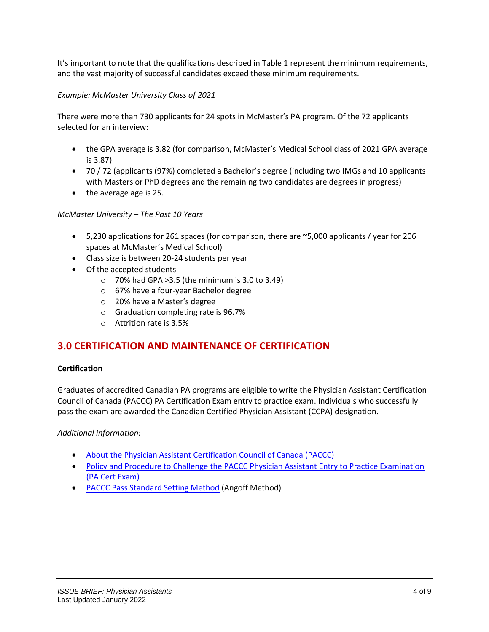It's important to note that the qualifications described in Table 1 represent the minimum requirements, and the vast majority of successful candidates exceed these minimum requirements.

### *Example: McMaster University Class of 2021*

There were more than 730 applicants for 24 spots in McMaster's PA program. Of the 72 applicants selected for an interview:

- the GPA average is 3.82 (for comparison, McMaster's Medical School class of 2021 GPA average is 3.87)
- 70 / 72 (applicants (97%) completed a Bachelor's degree (including two IMGs and 10 applicants with Masters or PhD degrees and the remaining two candidates are degrees in progress)
- the average age is 25.

### *McMaster University – The Past 10 Years*

- 5,230 applications for 261 spaces (for comparison, there are ~5,000 applicants / year for 206 spaces at McMaster's Medical School)
- Class size is between 20-24 students per year
- Of the accepted students
	- $\circ$  70% had GPA > 3.5 (the minimum is 3.0 to 3.49)
	- o 67% have a four-year Bachelor degree
	- o 20% have a Master's degree
	- o Graduation completing rate is 96.7%
	- o Attrition rate is 3.5%

### **3.0 CERTIFICATION AND MAINTENANCE OF CERTIFICATION**

#### **Certification**

Graduates of accredited Canadian PA programs are eligible to write the Physician Assistant Certification Council of Canada (PACCC) PA Certification Exam entry to practice exam. Individuals who successfully pass the exam are awarded the Canadian Certified Physician Assistant (CCPA) designation.

#### *Additional information:*

- [About the Physician Assistant Certification Council of Canada \(PACCC\)](https://capa-acam.ca/paccc)
- Policy and Procedure to Challenge the PACCC Physician Assistant Entry to Practice Examination [\(PA Cert Exam\)](https://capa-acam.ca/paccc/elgibility/)
- [PACCC Pass Standard Setting Method](https://capa-acam.ca/paccc/pass-standard-setting-method/) (Angoff Method)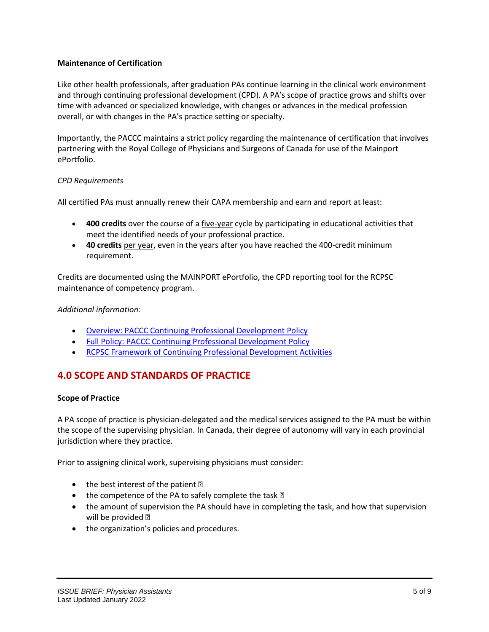### **Maintenance of Certification**

Like other health professionals, after graduation PAs continue learning in the clinical work environment and through continuing professional development (CPD). A PA's scope of practice grows and shifts over time with advanced or specialized knowledge, with changes or advances in the medical profession overall, or with changes in the PA's practice setting or specialty.

Importantly, the PACCC maintains a strict policy regarding the maintenance of certification that involves partnering with the Royal College of Physicians and Surgeons of Canada for use of the Mainport ePortfolio.

### *CPD Requirements*

All certified PAs must annually renew their CAPA membership and earn and report at least:

- **400 credits** over the course of a five-year cycle by participating in educational activities that meet the identified needs of your professional practice.
- **40 credits** per year, even in the years after you have reached the 400-credit minimum requirement.

Credits are documented using the MAINPORT ePortfolio, the CPD reporting tool for the RCPSC maintenance of competency program.

### *Additional information:*

- [Overview: PACCC Continuing Professional Development Policy](https://capa-acam.ca/paccc/continuing-professional-development-cpd/paccc-cpd-committee-cpd-policy/)
- [Full Policy: PACCC Continuing Professional Development Policy](https://capa-acam.ca/wp-content/uploads/2017/09/PACCC-CPD-Policy-FINAL-July-2016.pdf)
- [RCPSC Framework of Continuing Professional Development Activities](https://capa-acam.ca/wp-content/uploads/2017/09/PACCC-CPD-Policy-FINAL-July-2016.pdf)

### **4.0 SCOPE AND STANDARDS OF PRACTICE**

#### **Scope of Practice**

A PA scope of practice is physician-delegated and the medical services assigned to the PA must be within the scope of the supervising physician. In Canada, their degree of autonomy will vary in each provincial jurisdiction where they practice.

Prior to assigning clinical work, supervising physicians must consider:

- the best interest of the patient  $f$
- the competence of the PA to safely complete the task  $f$
- the amount of supervision the PA should have in completing the task, and how that supervision will be provided f
- the organization's policies and procedures.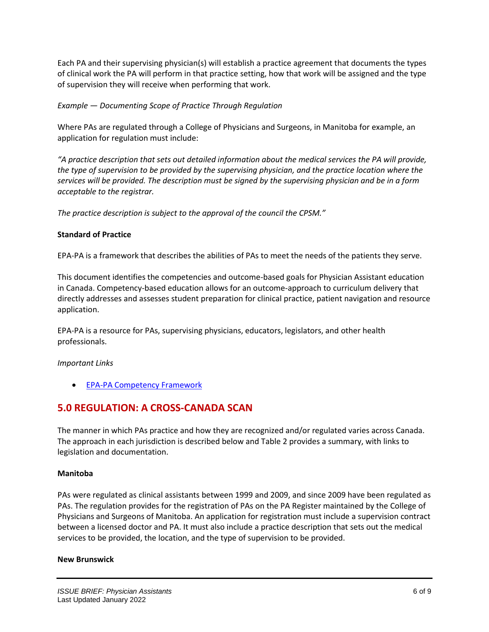Each PA and their supervising physician(s) will establish a practice agreement that documents the types of clinical work the PA will perform in that practice setting, how that work will be assigned and the type of supervision they will receive when performing that work.

*Example — Documenting Scope of Practice Through Regulation*

Where PAs are regulated through a College of Physicians and Surgeons, in Manitoba for example, an application for regulation must include:

*"A practice description that sets out detailed information about the medical services the PA will provide, the type of supervision to be provided by the supervising physician, and the practice location where the services will be provided. The description must be signed by the supervising physician and be in a form acceptable to the registrar.*

*The practice description is subject to the approval of the council the CPSM."*

### **Standard of Practice**

EPA-PA is a framework that describes the abilities of PAs to meet the needs of the patients they serve.

This document identifies the competencies and outcome-based goals for Physician Assistant education in Canada. Competency-based education allows for an outcome-approach to curriculum delivery that directly addresses and assesses student preparation for clinical practice, patient navigation and resource application.

EPA-PA is a resource for PAs, supervising physicians, educators, legislators, and other health professionals.

*Important Links*

• EPA-PA [Competency Framework](https://capa-acam.ca/about-pas/epa-pa/)

### **5.0 REGULATION: A CROSS-CANADA SCAN**

The manner in which PAs practice and how they are recognized and/or regulated varies across Canada. The approach in each jurisdiction is described below and Table 2 provides a summary, with links to legislation and documentation.

### **Manitoba**

PAs were regulated as clinical assistants between 1999 and 2009, and since 2009 have been regulated as PAs. The regulation provides for the registration of PAs on the PA Register maintained by the College of Physicians and Surgeons of Manitoba. An application for registration must include a supervision contract between a licensed doctor and PA. It must also include a practice description that sets out the medical services to be provided, the location, and the type of supervision to be provided.

#### **New Brunswick**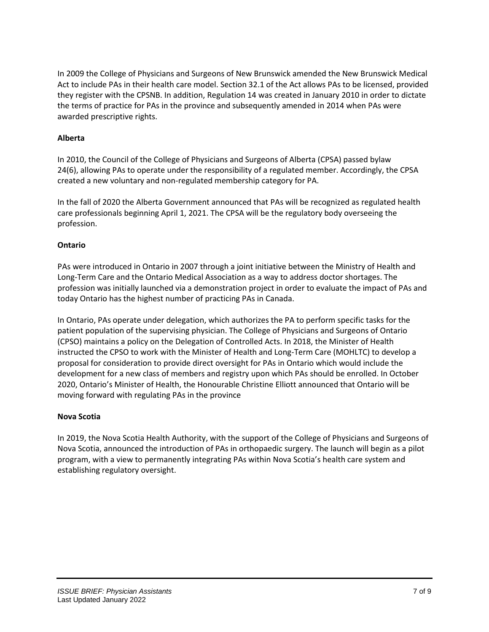In 2009 the College of Physicians and Surgeons of New Brunswick amended the New Brunswick Medical Act to include PAs in their health care model. Section 32.1 of the Act allows PAs to be licensed, provided they register with the CPSNB. In addition, Regulation 14 was created in January 2010 in order to dictate the terms of practice for PAs in the province and subsequently amended in 2014 when PAs were awarded prescriptive rights.

### **Alberta**

In 2010, the Council of the College of Physicians and Surgeons of Alberta (CPSA) passed bylaw 24(6), allowing PAs to operate under the responsibility of a regulated member. Accordingly, the CPSA created a new voluntary and non-regulated membership category for PA.

In the fall of 2020 the Alberta Government announced that PAs will be recognized as regulated health care professionals beginning April 1, 2021. The CPSA will be the regulatory body overseeing the profession.

### **Ontario**

PAs were introduced in Ontario in 2007 through a joint initiative between the Ministry of Health and Long-Term Care and the Ontario Medical Association as a way to address doctor shortages. The profession was initially launched via a demonstration project in order to evaluate the impact of PAs and today Ontario has the highest number of practicing PAs in Canada.

In Ontario, PAs operate under delegation, which authorizes the PA to perform specific tasks for the patient population of the supervising physician. The College of Physicians and Surgeons of Ontario (CPSO) maintains a policy on the Delegation of Controlled Acts. In 2018, the Minister of Health instructed the CPSO to work with the Minister of Health and Long-Term Care (MOHLTC) to develop a proposal for consideration to provide direct oversight for PAs in Ontario which would include the development for a new class of members and registry upon which PAs should be enrolled. In October 2020, Ontario's Minister of Health, the Honourable Christine Elliott announced that Ontario will be moving forward with regulating PAs in the province

#### **Nova Scotia**

In 2019, the Nova Scotia Health Authority, with the support of the College of Physicians and Surgeons of Nova Scotia, announced the introduction of PAs in orthopaedic surgery. The launch will begin as a pilot program, with a view to permanently integrating PAs within Nova Scotia's health care system and establishing regulatory oversight.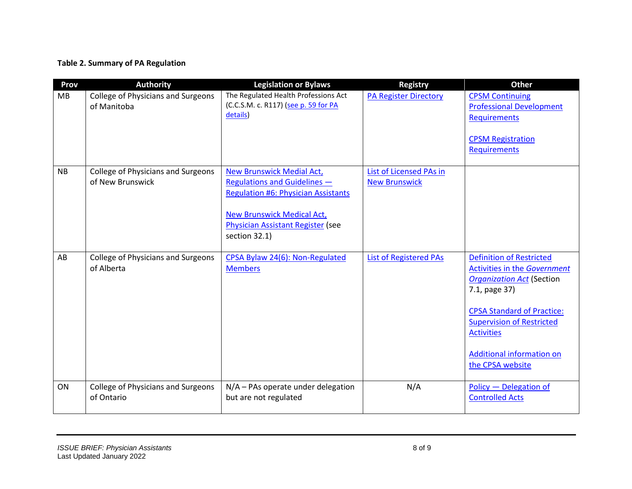### **Table 2. Summary of PA Regulation**

| Prov      | <b>Authority</b>                                              | <b>Legislation or Bylaws</b>                                                                                                                                                                                     | <b>Registry</b>                                 | <b>Other</b>                                                                                                                                                                                                                                                               |
|-----------|---------------------------------------------------------------|------------------------------------------------------------------------------------------------------------------------------------------------------------------------------------------------------------------|-------------------------------------------------|----------------------------------------------------------------------------------------------------------------------------------------------------------------------------------------------------------------------------------------------------------------------------|
| MB        | <b>College of Physicians and Surgeons</b><br>of Manitoba      | The Regulated Health Professions Act<br>(C.C.S.M. c. R117) (see p. 59 for PA<br>details)                                                                                                                         | <b>PA Register Directory</b>                    | <b>CPSM Continuing</b><br><b>Professional Development</b><br><b>Requirements</b><br><b>CPSM Registration</b><br>Requirements                                                                                                                                               |
| <b>NB</b> | <b>College of Physicians and Surgeons</b><br>of New Brunswick | <b>New Brunswick Medial Act,</b><br><b>Regulations and Guidelines -</b><br><b>Regulation #6: Physician Assistants</b><br><b>New Brunswick Medical Act,</b><br>Physician Assistant Register (see<br>section 32.1) | List of Licensed PAs in<br><b>New Brunswick</b> |                                                                                                                                                                                                                                                                            |
| AB        | <b>College of Physicians and Surgeons</b><br>of Alberta       | CPSA Bylaw 24(6): Non-Regulated<br><b>Members</b>                                                                                                                                                                | <b>List of Registered PAs</b>                   | <b>Definition of Restricted</b><br>Activities in the Government<br><b>Organization Act</b> (Section<br>7.1, page 37)<br><b>CPSA Standard of Practice:</b><br><b>Supervision of Restricted</b><br><b>Activities</b><br><b>Additional information on</b><br>the CPSA website |
| ON        | <b>College of Physicians and Surgeons</b><br>of Ontario       | N/A - PAs operate under delegation<br>but are not regulated                                                                                                                                                      | N/A                                             | Policy - Delegation of<br><b>Controlled Acts</b>                                                                                                                                                                                                                           |